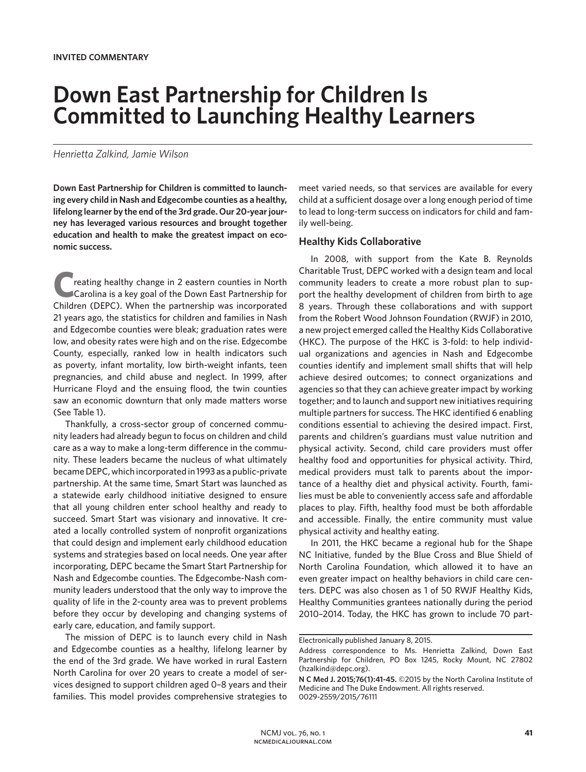# **Down East Partnership for Children Is Committed to Launching Healthy Learners**

## *Henrietta Zalkind, Jamie Wilson*

**Down East Partnership for Children is committed to launching every child in Nash and Edgecombe counties as a healthy, lifelong learner by the end of the 3rd grade. Our 20-year journey has leveraged various resources and brought together education and health to make the greatest impact on economic success.**

**C**reating healthy change in 2 eastern counties in North Carolina is a key goal of the Down East Partnership for Children (DEPC). When the partnership was incorporated 21 years ago, the statistics for children and families in Nash and Edgecombe counties were bleak; graduation rates were low, and obesity rates were high and on the rise. Edgecombe County, especially, ranked low in health indicators such as poverty, infant mortality, low birth-weight infants, teen pregnancies, and child abuse and neglect. In 1999, after Hurricane Floyd and the ensuing flood, the twin counties saw an economic downturn that only made matters worse (See Table 1).

Thankfully, a cross-sector group of concerned community leaders had already begun to focus on children and child care as a way to make a long-term difference in the community. These leaders became the nucleus of what ultimately became DEPC, which incorporated in 1993 as a public-private partnership. At the same time, Smart Start was launched as a statewide early childhood initiative designed to ensure that all young children enter school healthy and ready to succeed. Smart Start was visionary and innovative. It created a locally controlled system of nonprofit organizations that could design and implement early childhood education systems and strategies based on local needs. One year after incorporating, DEPC became the Smart Start Partnership for Nash and Edgecombe counties. The Edgecombe-Nash community leaders understood that the only way to improve the quality of life in the 2-county area was to prevent problems before they occur by developing and changing systems of early care, education, and family support.

The mission of DEPC is to launch every child in Nash and Edgecombe counties as a healthy, lifelong learner by the end of the 3rd grade. We have worked in rural Eastern North Carolina for over 20 years to create a model of services designed to support children aged 0–8 years and their families. This model provides comprehensive strategies to

meet varied needs, so that services are available for every child at a sufficient dosage over a long enough period of time to lead to long-term success on indicators for child and family well-being.

## **Healthy Kids Collaborative**

In 2008, with support from the Kate B. Reynolds Charitable Trust, DEPC worked with a design team and local community leaders to create a more robust plan to support the healthy development of children from birth to age 8 years. Through these collaborations and with support from the Robert Wood Johnson Foundation (RWJF) in 2010, a new project emerged called the Healthy Kids Collaborative (HKC). The purpose of the HKC is 3-fold: to help individual organizations and agencies in Nash and Edgecombe counties identify and implement small shifts that will help achieve desired outcomes; to connect organizations and agencies so that they can achieve greater impact by working together; and to launch and support new initiatives requiring multiple partners for success. The HKC identified 6 enabling conditions essential to achieving the desired impact. First, parents and children's guardians must value nutrition and physical activity. Second, child care providers must offer healthy food and opportunities for physical activity. Third, medical providers must talk to parents about the importance of a healthy diet and physical activity. Fourth, families must be able to conveniently access safe and affordable places to play. Fifth, healthy food must be both affordable and accessible. Finally, the entire community must value physical activity and healthy eating.

In 2011, the HKC became a regional hub for the Shape NC Initiative, funded by the Blue Cross and Blue Shield of North Carolina Foundation, which allowed it to have an even greater impact on healthy behaviors in child care centers. DEPC was also chosen as 1 of 50 RWJF Healthy Kids, Healthy Communities grantees nationally during the period 2010–2014. Today, the HKC has grown to include 70 part-

Electronically published January 8, 2015.

Address correspondence to Ms. Henrietta Zalkind, Down East Partnership for Children, PO Box 1245, Rocky Mount, NC 27802 (hzalkind@depc.org).

**N C Med J. 2015;76(1):41-45.** ©2015 by the North Carolina Institute of Medicine and The Duke Endowment. All rights reserved. 0029-2559/2015/76111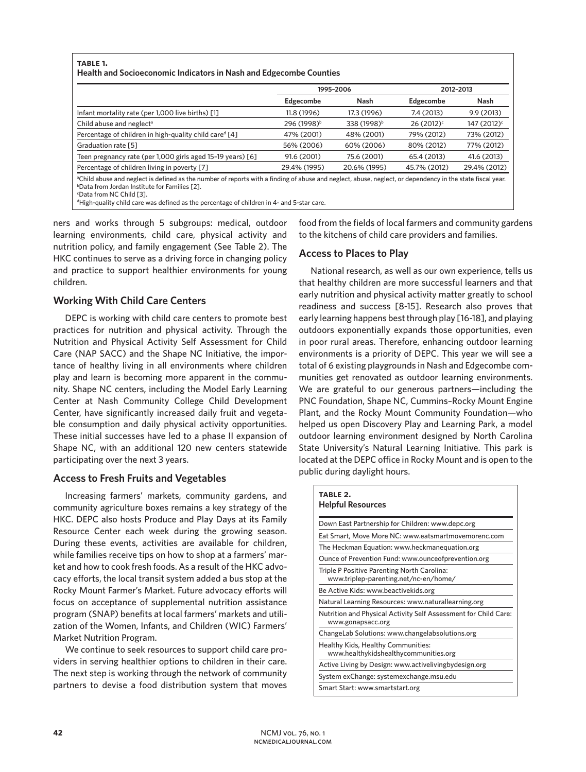| TABLE 1.                                                                  |  |
|---------------------------------------------------------------------------|--|
| <b>Health and Socioeconomic Indicators in Nash and Edgecombe Counties</b> |  |

|                                                                                                                                                                                                                                    | 1995-2006               |                         | 2012-2013              |                         |
|------------------------------------------------------------------------------------------------------------------------------------------------------------------------------------------------------------------------------------|-------------------------|-------------------------|------------------------|-------------------------|
|                                                                                                                                                                                                                                    | Edgecombe               | Nash                    | Edgecombe              | Nash                    |
| Infant mortality rate (per 1,000 live births) [1]                                                                                                                                                                                  | 11.8 (1996)             | 17.3 (1996)             | 7.4 (2013)             | 9.9(2013)               |
| Child abuse and neglect <sup>a</sup>                                                                                                                                                                                               | 296 (1998) <sup>b</sup> | 338 (1998) <sup>b</sup> | 26 (2012) <sup>c</sup> | 147 (2012) <sup>c</sup> |
| Percentage of children in high-quality child care <sup>d</sup> [4]                                                                                                                                                                 | 47% (2001)              | 48% (2001)              | 79% (2012)             | 73% (2012)              |
| Graduation rate [5]                                                                                                                                                                                                                | 56% (2006)              | 60% (2006)              | 80% (2012)             | 77% (2012)              |
| Teen pregnancy rate (per 1,000 girls aged 15-19 years) [6]                                                                                                                                                                         | 91.6 (2001)             | 75.6 (2001)             | 65.4 (2013)            | 41.6 (2013)             |
| Percentage of children living in poverty [7]                                                                                                                                                                                       | 29.4% (1995)            | 20.6% (1995)            | 45.7% (2012)           | 29.4% (2012)            |
| <sup>a</sup> Child abuse and neglect is defined as the number of reports with a finding of abuse and neglect, abuse, neglect, or dependency in the state fiscal year.<br><sup>b</sup> Data from Jordan Institute for Families [2]. |                         |                         |                        |                         |

c Data from NC Child [3].

d High-quality child care was defined as the percentage of children in 4- and 5-star care.

ners and works through 5 subgroups: medical, outdoor learning environments, child care, physical activity and nutrition policy, and family engagement (See Table 2). The HKC continues to serve as a driving force in changing policy and practice to support healthier environments for young children.

# **Working With Child Care Centers**

DEPC is working with child care centers to promote best practices for nutrition and physical activity. Through the Nutrition and Physical Activity Self Assessment for Child Care (NAP SACC) and the Shape NC Initiative, the importance of healthy living in all environments where children play and learn is becoming more apparent in the community. Shape NC centers, including the Model Early Learning Center at Nash Community College Child Development Center, have significantly increased daily fruit and vegetable consumption and daily physical activity opportunities. These initial successes have led to a phase II expansion of Shape NC, with an additional 120 new centers statewide participating over the next 3 years.

## **Access to Fresh Fruits and Vegetables**

Increasing farmers' markets, community gardens, and community agriculture boxes remains a key strategy of the HKC. DEPC also hosts Produce and Play Days at its Family Resource Center each week during the growing season. During these events, activities are available for children, while families receive tips on how to shop at a farmers' market and how to cook fresh foods. As a result of the HKC advocacy efforts, the local transit system added a bus stop at the Rocky Mount Farmer's Market. Future advocacy efforts will focus on acceptance of supplemental nutrition assistance program (SNAP) benefits at local farmers' markets and utilization of the Women, Infants, and Children (WIC) Farmers' Market Nutrition Program.

We continue to seek resources to support child care providers in serving healthier options to children in their care. The next step is working through the network of community partners to devise a food distribution system that moves food from the fields of local farmers and community gardens to the kitchens of child care providers and families.

# **Access to Places to Play**

National research, as well as our own experience, tells us that healthy children are more successful learners and that early nutrition and physical activity matter greatly to school readiness and success [8-15]. Research also proves that early learning happens best through play [16-18], and playing outdoors exponentially expands those opportunities, even in poor rural areas. Therefore, enhancing outdoor learning environments is a priority of DEPC. This year we will see a total of 6 existing playgrounds in Nash and Edgecombe communities get renovated as outdoor learning environments. We are grateful to our generous partners—including the PNC Foundation, Shape NC, Cummins–Rocky Mount Engine Plant, and the Rocky Mount Community Foundation—who helped us open Discovery Play and Learning Park, a model outdoor learning environment designed by North Carolina State University's Natural Learning Initiative. This park is located at the DEPC office in Rocky Mount and is open to the public during daylight hours.

| TABLE 2.<br><b>Helpful Resources</b>                                                 |
|--------------------------------------------------------------------------------------|
| Down East Partnership for Children: www.depc.org                                     |
| Eat Smart, Move More NC: www.eatsmartmovemorenc.com                                  |
| The Heckman Equation: www.heckmanequation.org                                        |
| Ounce of Prevention Fund: www.ounceofprevention.org                                  |
| Triple P Positive Parenting North Carolina:<br>www.triplep-parenting.net/nc-en/home/ |
| Be Active Kids: www.beactivekids.org                                                 |
| Natural Learning Resources: www.naturallearning.org                                  |
| Nutrition and Physical Activity Self Assessment for Child Care:<br>www.gonapsacc.org |
| ChangeLab Solutions: www.changelabsolutions.org                                      |
| Healthy Kids, Healthy Communities:<br>www.healthykidshealthycommunities.org          |
| Active Living by Design: www.activelivingbydesign.org                                |
| System exChange: systemexchange.msu.edu                                              |
| Smart Start: www.smartstart.org                                                      |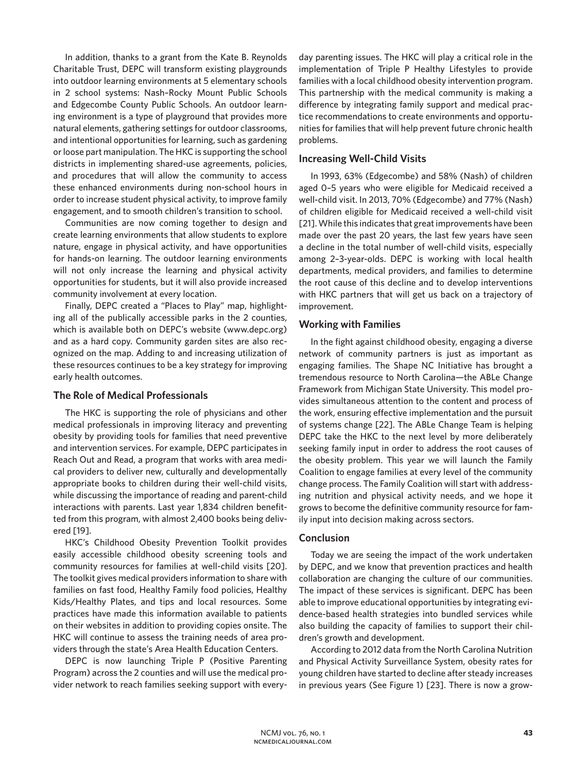In addition, thanks to a grant from the Kate B. Reynolds Charitable Trust, DEPC will transform existing playgrounds into outdoor learning environments at 5 elementary schools in 2 school systems: Nash–Rocky Mount Public Schools and Edgecombe County Public Schools. An outdoor learning environment is a type of playground that provides more natural elements, gathering settings for outdoor classrooms, and intentional opportunities for learning, such as gardening or loose part manipulation. The HKC is supporting the school districts in implementing shared-use agreements, policies, and procedures that will allow the community to access these enhanced environments during non-school hours in order to increase student physical activity, to improve family engagement, and to smooth children's transition to school.

Communities are now coming together to design and create learning environments that allow students to explore nature, engage in physical activity, and have opportunities for hands-on learning. The outdoor learning environments will not only increase the learning and physical activity opportunities for students, but it will also provide increased community involvement at every location.

Finally, DEPC created a "Places to Play" map, highlighting all of the publically accessible parks in the 2 counties, which is available both on DEPC's website (www.depc.org) and as a hard copy. Community garden sites are also recognized on the map. Adding to and increasing utilization of these resources continues to be a key strategy for improving early health outcomes.

### **The Role of Medical Professionals**

The HKC is supporting the role of physicians and other medical professionals in improving literacy and preventing obesity by providing tools for families that need preventive and intervention services. For example, DEPC participates in Reach Out and Read, a program that works with area medical providers to deliver new, culturally and developmentally appropriate books to children during their well-child visits, while discussing the importance of reading and parent-child interactions with parents. Last year 1,834 children benefitted from this program, with almost 2,400 books being delivered [19].

HKC's Childhood Obesity Prevention Toolkit provides easily accessible childhood obesity screening tools and community resources for families at well-child visits [20]. The toolkit gives medical providers information to share with families on fast food, Healthy Family food policies, Healthy Kids/Healthy Plates, and tips and local resources. Some practices have made this information available to patients on their websites in addition to providing copies onsite. The HKC will continue to assess the training needs of area providers through the state's Area Health Education Centers.

DEPC is now launching Triple P (Positive Parenting Program) across the 2 counties and will use the medical provider network to reach families seeking support with everyday parenting issues. The HKC will play a critical role in the implementation of Triple P Healthy Lifestyles to provide families with a local childhood obesity intervention program. This partnership with the medical community is making a difference by integrating family support and medical practice recommendations to create environments and opportunities for families that will help prevent future chronic health problems.

## **Increasing Well-Child Visits**

In 1993, 63% (Edgecombe) and 58% (Nash) of children aged 0–5 years who were eligible for Medicaid received a well-child visit. In 2013, 70% (Edgecombe) and 77% (Nash) of children eligible for Medicaid received a well-child visit [21]. While this indicates that great improvements have been made over the past 20 years, the last few years have seen a decline in the total number of well-child visits, especially among 2–3-year-olds. DEPC is working with local health departments, medical providers, and families to determine the root cause of this decline and to develop interventions with HKC partners that will get us back on a trajectory of improvement.

## **Working with Families**

In the fight against childhood obesity, engaging a diverse network of community partners is just as important as engaging families. The Shape NC Initiative has brought a tremendous resource to North Carolina—the ABLe Change Framework from Michigan State University. This model provides simultaneous attention to the content and process of the work, ensuring effective implementation and the pursuit of systems change [22]. The ABLe Change Team is helping DEPC take the HKC to the next level by more deliberately seeking family input in order to address the root causes of the obesity problem. This year we will launch the Family Coalition to engage families at every level of the community change process. The Family Coalition will start with addressing nutrition and physical activity needs, and we hope it grows to become the definitive community resource for family input into decision making across sectors.

### **Conclusion**

Today we are seeing the impact of the work undertaken by DEPC, and we know that prevention practices and health collaboration are changing the culture of our communities. The impact of these services is significant. DEPC has been able to improve educational opportunities by integrating evidence-based health strategies into bundled services while also building the capacity of families to support their children's growth and development.

According to 2012 data from the North Carolina Nutrition and Physical Activity Surveillance System, obesity rates for young children have started to decline after steady increases in previous years (See Figure 1) [23]. There is now a grow-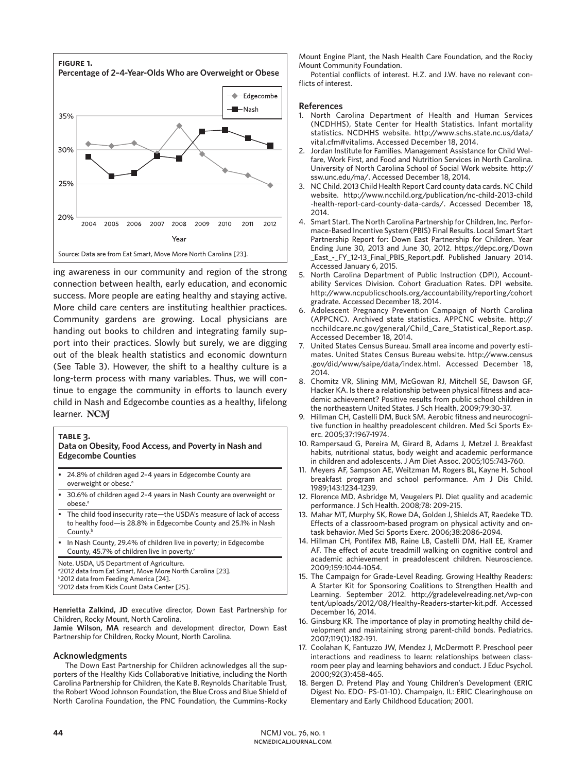

ing awareness in our community and region of the strong connection between health, early education, and economic success. More people are eating healthy and staying active. More child care centers are instituting healthier practices. Community gardens are growing. Local physicians are handing out books to children and integrating family support into their practices. Slowly but surely, we are digging out of the bleak health statistics and economic downturn (See Table 3). However, the shift to a healthy culture is a long-term process with many variables. Thus, we will continue to engage the community in efforts to launch every child in Nash and Edgecombe counties as a healthy, lifelong learner. NCM

### **table 3.**

#### **Data on Obesity, Food Access, and Poverty in Nash and Edgecombe Counties**

- 24.8% of children aged 2–4 years in Edgecombe County are overweight or obese.<sup>a</sup>
- 30.6% of children aged 2–4 years in Nash County are overweight or obese<sup>a</sup>
- The child food insecurity rate-the USDA's measure of lack of access to healthy food—is 28.8% in Edgecombe County and 25.1% in Nash County.<sup>b</sup>
- In Nash County, 29.4% of children live in poverty; in Edgecombe County, 45.7% of children live in poverty.<sup>c</sup>

Note. USDA, US Department of Agriculture.

- a 2012 data from Eat Smart, Move More North Carolina [23].
- b 2012 data from Feeding America [24].
- c 2012 data from Kids Count Data Center [25].

**Henrietta Zalkind, JD** executive director, Down East Partnership for Children, Rocky Mount, North Carolina.

**Jamie Wilson, MA** research and development director, Down East Partnership for Children, Rocky Mount, North Carolina.

#### **Acknowledgments**

The Down East Partnership for Children acknowledges all the supporters of the Healthy Kids Collaborative Initiative, including the North Carolina Partnership for Children, the Kate B. Reynolds Charitable Trust, the Robert Wood Johnson Foundation, the Blue Cross and Blue Shield of North Carolina Foundation, the PNC Foundation, the Cummins-Rocky

Mount Engine Plant, the Nash Health Care Foundation, and the Rocky Mount Community Foundation.

Potential conflicts of interest. H.Z. and J.W. have no relevant conflicts of interest.

#### **References**

- 1. North Carolina Department of Health and Human Services (NCDHHS), State Center for Health Statistics. Infant mortality statistics. NCDHHS website. http://www.schs.state.nc.us/data/ vital.cfm#vitalims. Accessed December 18, 2014.
- 2. Jordan Institute for Families. Management Assistance for Child Welfare, Work First, and Food and Nutrition Services in North Carolina. University of North Carolina School of Social Work website. http:// ssw.unc.edu/ma/. Accessed December 18, 2014.
- 3. NC Child. 2013 Child Health Report Card county data cards. NC Child website. http://www.ncchild.org/publication/nc-child-2013-child -health-report-card-county-data-cards/. Accessed December 18, 2014.
- 4. Smart Start. The North Carolina Partnership for Children, Inc. Performace-Based Incentive System (PBIS) Final Results. Local Smart Start Partnership Report for: Down East Partnership for Children. Year Ending June 30, 2013 and June 30, 2012. https://depc.org/Down \_East\_-\_FY\_12-13\_Final\_PBIS\_Report.pdf. Published January 2014. Accessed January 6, 2015.
- 5. North Carolina Department of Public Instruction (DPI), Accountability Services Division. Cohort Graduation Rates. DPI website. http://www.ncpublicschools.org/accountability/reporting/cohort gradrate. Accessed December 18, 2014.
- 6. Adolescent Pregnancy Prevention Campaign of North Carolina (APPCNC). Archived state statistics. APPCNC website. http:// ncchildcare.nc.gov/general/Child\_Care\_Statistical\_Report.asp. Accessed December 18, 2014.
- 7. United States Census Bureau. Small area income and poverty estimates. United States Census Bureau website. http://www.census .gov/did/www/saipe/data/index.html. Accessed December 18, 2014.
- 8. Chomitz VR, Slining MM, McGowan RJ, Mitchell SE, Dawson GF, Hacker KA. Is there a relationship between physical fitness and academic achievement? Positive results from public school children in the northeastern United States. J Sch Health. 2009;79:30-37.
- 9. Hillman CH, Castelli DM, Buck SM. Aerobic fitness and neurocognitive function in healthy preadolescent children. Med Sci Sports Exerc. 2005;37:1967-1974.
- 10. Rampersaud G, Pereira M, Girard B, Adams J, Metzel J. Breakfast habits, nutritional status, body weight and academic performance in children and adolescents. J Am Diet Assoc. 2005;105:743-760.
- 11. Meyers AF, Sampson AE, Weitzman M, Rogers BL, Kayne H. School breakfast program and school performance. Am J Dis Child. 1989;143:1234-1239.
- 12. Florence MD, Asbridge M, Veugelers PJ. Diet quality and academic performance. J Sch Health. 2008;78: 209-215.
- 13. Mahar MT, Murphy SK, Rowe DA, Golden J, Shields AT, Raedeke TD. Effects of a classroom-based program on physical activity and ontask behavior. Med Sci Sports Exerc. 2006;38:2086-2094.
- 14. Hillman CH, Pontifex MB, Raine LB, Castelli DM, Hall EE, Kramer AF. The effect of acute treadmill walking on cognitive control and academic achievement in preadolescent children. Neuroscience. 2009;159:1044-1054.
- 15. The Campaign for Grade-Level Reading. Growing Healthy Readers: A Starter Kit for Sponsoring Coalitions to Strengthen Health and Learning. September 2012. http://gradelevelreading.net/wp-con tent/uploads/2012/08/Healthy-Readers-starter-kit.pdf. Accessed December 16, 2014.
- 16. Ginsburg KR. The importance of play in promoting healthy child development and maintaining strong parent-child bonds. Pediatrics. 2007;119(1):182-191.
- 17. Coolahan K, Fantuzzo JW, Mendez J, McDermott P. Preschool peer interactions and readiness to learn: relationships between classroom peer play and learning behaviors and conduct. J Educ Psychol. 2000;92(3):458-465.
- 18. Bergen D. Pretend Play and Young Children's Development (ERIC Digest No. EDO- PS-01-10). Champaign, IL: ERIC Clearinghouse on Elementary and Early Childhood Education; 2001.